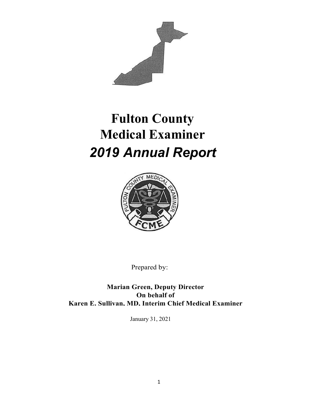

# **Fulton County Medical Examiner** *2019 Annual Report*



Prepared by:

**Marian Green, Deputy Director On behalf of Karen E. Sullivan, MD, Interim Chief Medical Examiner**

January 31, 2021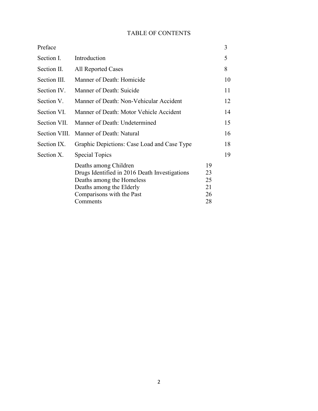#### TABLE OF CONTENTS

| Preface       |                                                                                                                                                              |                            | 3  |
|---------------|--------------------------------------------------------------------------------------------------------------------------------------------------------------|----------------------------|----|
| Section I.    | Introduction                                                                                                                                                 |                            | 5  |
| Section II.   | All Reported Cases                                                                                                                                           |                            | 8  |
| Section III.  | Manner of Death: Homicide                                                                                                                                    |                            | 10 |
| Section IV.   | Manner of Death: Suicide                                                                                                                                     |                            | 11 |
| Section V.    | Manner of Death: Non-Vehicular Accident                                                                                                                      |                            | 12 |
| Section VI.   | Manner of Death: Motor Vehicle Accident                                                                                                                      |                            | 14 |
| Section VII.  | Manner of Death: Undetermined                                                                                                                                |                            | 15 |
| Section VIII. | Manner of Death: Natural                                                                                                                                     |                            | 16 |
| Section IX.   | Graphic Depictions: Case Load and Case Type                                                                                                                  |                            | 18 |
| Section X.    | <b>Special Topics</b>                                                                                                                                        |                            | 19 |
|               | Deaths among Children<br>Drugs Identified in 2016 Death Investigations<br>Deaths among the Homeless<br>Deaths among the Elderly<br>Comparisons with the Past | 19<br>23<br>25<br>21<br>26 |    |
|               | Comments                                                                                                                                                     | 28                         |    |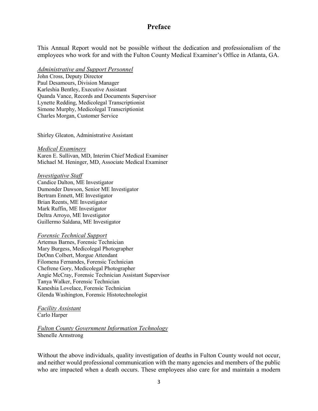#### **Preface**

This Annual Report would not be possible without the dedication and professionalism of the employees who work for and with the Fulton County Medical Examiner's Office in Atlanta, GA.

*Administrative and Support Personnel* John Cross, Deputy Director Paul Desamours, Division Manager Karleshia Bentley, Executive Assistant Quanda Vance, Records and Documents Supervisor Lynette Redding, Medicolegal Transcriptionist Simone Murphy, Medicolegal Transcriptionist Charles Morgan, Customer Service

Shirley Gleaton, Administrative Assistant

*Medical Examiners* Karen E. Sullivan, MD, Interim Chief Medical Examiner Michael M. Heninger, MD, Associate Medical Examiner

#### *Investigative Staff*

Candice Dalton, ME Investigator Dumonder Dawson, Senior ME Investigator Bertram Ennett, ME Investigator Brian Reents, ME Investigator Mark Ruffin, ME Investigator Deltra Arroyo, ME Investigator Guillermo Saldana, ME Investigator

#### *Forensic Technical Support*

Artemus Barnes, Forensic Technician Mary Burgess, Medicolegal Photographer DeOnn Colbert, Morgue Attendant Filomena Fernandes, Forensic Technician Chefrene Gory, Medicolegal Photographer Angie McCray, Forensic Technician Assistant Supervisor Tanya Walker, Forensic Technician Kaneshia Lovelace, Forensic Technician Glenda Washington, Forensic Histotechnologist

*Facility Assistant* Carlo Harper

*Fulton County Government Information Technology* Shenelle Armstrong

Without the above individuals, quality investigation of deaths in Fulton County would not occur, and neither would professional communication with the many agencies and members of the public who are impacted when a death occurs. These employees also care for and maintain a modern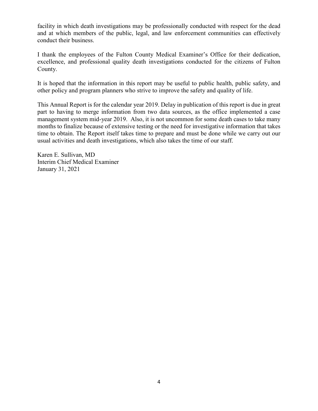facility in which death investigations may be professionally conducted with respect for the dead and at which members of the public, legal, and law enforcement communities can effectively conduct their business.

I thank the employees of the Fulton County Medical Examiner's Office for their dedication, excellence, and professional quality death investigations conducted for the citizens of Fulton County.

It is hoped that the information in this report may be useful to public health, public safety, and other policy and program planners who strive to improve the safety and quality of life.

This Annual Report is for the calendar year 2019. Delay in publication of this report is due in great part to having to merge information from two data sources, as the office implemented a case management system mid-year 2019. Also, it is not uncommon for some death cases to take many months to finalize because of extensive testing or the need for investigative information that takes time to obtain. The Report itself takes time to prepare and must be done while we carry out our usual activities and death investigations, which also takes the time of our staff.

Karen E. Sullivan, MD Interim Chief Medical Examiner January 31, 2021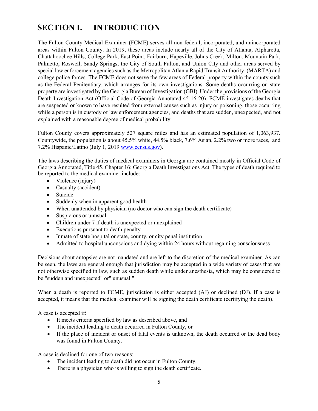## **SECTION I. INTRODUCTION**

The Fulton County Medical Examiner (FCME) serves all non-federal, incorporated, and unincorporated areas within Fulton County. In 2019, these areas include nearly all of the City of Atlanta, Alpharetta, Chattahoochee Hills, College Park, East Point, Fairburn, Hapeville, Johns Creek, Milton, Mountain Park, Palmetto, Roswell, Sandy Springs, the City of South Fulton, and Union City and other areas served by special law enforcement agencies such as the Metropolitan Atlanta Rapid Transit Authority (MARTA) and college police forces. The FCME does not serve the few areas of Federal property within the county such as the Federal Penitentiary, which arranges for its own investigations. Some deaths occurring on state property are investigated by the Georgia Bureau of Investigation (GBI). Under the provisions of the Georgia Death Investigation Act (Official Code of Georgia Annotated 45-16-20), FCME investigates deaths that are suspected or known to have resulted from external causes such as injury or poisoning, those occurring while a person is in custody of law enforcement agencies, and deaths that are sudden, unexpected, and not explained with a reasonable degree of medical probability.

Fulton County covers approximately 527 square miles and has an estimated population of 1,063,937. Countywide, the population is about 45.5% white, 44.5% black, 7.6% Asian, 2.2% two or more races, and 7.2% Hispanic/Latino (July 1, 2019 [www.census.gov\)](http://www.census.gov/).

The laws describing the duties of medical examiners in Georgia are contained mostly in Official Code of Georgia Annotated, Title 45, Chapter 16: Georgia Death Investigations Act. The types of death required to be reported to the medical examiner include:

- Violence (injury)
- Casualty (accident)
- Suicide
- Suddenly when in apparent good health
- When unattended by physician (no doctor who can sign the death certificate)
- Suspicious or unusual
- Children under 7 if death is unexpected or unexplained
- Executions pursuant to death penalty
- Inmate of state hospital or state, county, or city penal institution
- Admitted to hospital unconscious and dying within 24 hours without regaining consciousness

Decisions about autopsies are not mandated and are left to the discretion of the medical examiner. As can be seen, the laws are general enough that jurisdiction may be accepted in a wide variety of cases that are not otherwise specified in law, such as sudden death while under anesthesia, which may be considered to be "sudden and unexpected" or" unusual."

When a death is reported to FCME, jurisdiction is either accepted (AJ) or declined (DJ). If a case is accepted, it means that the medical examiner will be signing the death certificate (certifying the death).

A case is accepted if:

- It meets criteria specified by law as described above, and
- The incident leading to death occurred in Fulton County, or
- If the place of incident or onset of fatal events is unknown, the death occurred or the dead body was found in Fulton County.

A case is declined for one of two reasons:

- The incident leading to death did not occur in Fulton County.
- There is a physician who is willing to sign the death certificate.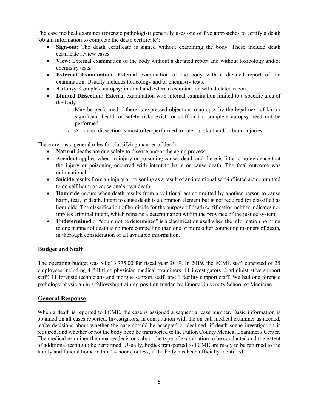The case medical examiner (forensic pathologist) generally uses one of five approaches to certify a death (obtain information to complete the death certificate):

- **Sign-out**: The death certificate is signed without examining the body. These include death certificate review cases.
- **View:** External examination of the body without a dictated report and without toxicology and/or chemistry tests.
- **External Examination**: External examination of the body with a dictated report of the examination. Usually includes toxicology and/or chemistry tests.
- **Autopsy**: Complete autopsy: internal and external examination with dictated report.
- **Limited Dissection:** External examination with internal examination limited to a specific area of the body
	- o May be performed if there is expressed objection to autopsy by the legal next of kin or significant health or safety risks exist for staff and a complete autopsy need not be performed.
	- o A limited dissection is most often performed to rule out skull and/or brain injuries.

There are basic general rules for classifying manner of death:

- **Natural** deaths are due solely to disease and/or the aging process
- **Accident** applies when an injury or poisoning causes death and there is little to no evidence that the injury or poisoning occurred with intent to harm or cause death. The fatal outcome was unintentional.
- **Suicide** results from an injury or poisoning as a result of an intentional self-inflicted act committed to do self-harm or cause one's own death.
- **Homicide** occurs when death results from a volitional act committed by another person to cause harm, fear, or death. Intent to cause death is a common element but is not required for classified as homicide. The classification of homicide for the purpose of death certification neither indicates nor implies criminal intent, which remains a determination within the province of the justice system.
- **Undetermined** or "could not be determined" is a classification used when the information pointing to one manner of death is no more compelling than one or more other competing manners of death, in thorough consideration of all available information.

#### **Budget and Staff**

The operating budget was \$4,613,775.00 for fiscal year 2019. In 2019, the FCME staff consisted of 35 employees including 4 full time physician medical examiners, 11 investigators, 8 administrative support staff, 11 forensic technicians and morgue support staff, and 1 facility support staff. We had one forensic pathology physician in a fellowship training position funded by Emory University School of Medicine.

#### **General Response**

When a death is reported to FCME, the case is assigned a sequential case number. Basic information is obtained on all cases reported. Investigators, in consultation with the on-call medical examiner as needed, make decisions about whether the case should be accepted or declined, if death scene investigation is required, and whether or not the body need be transported to the Fulton County Medical Examiner's Center. The medical examiner then makes decisions about the type of examination to be conducted and the extent of additional testing to be performed. Usually, bodies transported to FCME are ready to be returned to the family and funeral home within 24 hours, or less, if the body has been officially identified.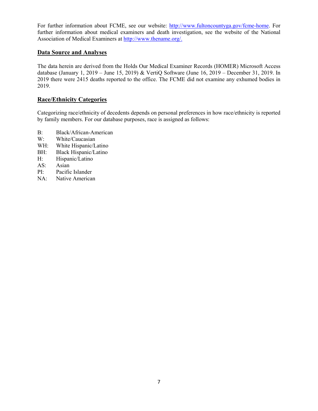For further information about FCME, see our website: [http://www.fultoncountyga.gov/fcme-home.](http://www.fultoncountyga.gov/fcme-home) For further information about medical examiners and death investigation, see the website of the National Association of Medical Examiners at [http://www.thename.org/.](http://www.thename.org/)

#### **Data Source and Analyses**

The data herein are derived from the Holds Our Medical Examiner Records (HOMER) Microsoft Access database (January 1, 2019 – June 15, 2019) & VertiQ Software (June 16, 2019 – December 31, 2019. In 2019 there were 2415 deaths reported to the office. The FCME did not examine any exhumed bodies in 2019.

#### **Race/Ethnicity Categories**

Categorizing race/ethnicity of decedents depends on personal preferences in how race/ethnicity is reported by family members. For our database purposes, race is assigned as follows:

- B: Black/African-American
- W: White/Caucasian
- WH: White Hispanic/Latino
- BH: Black Hispanic/Latino
- H: Hispanic/Latino
- AS: Asian
- PI: Pacific Islander
- NA: Native American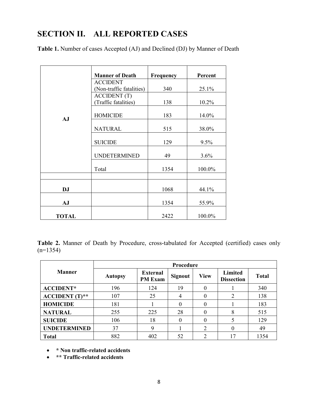## **SECTION II. ALL REPORTED CASES**

**Table 1.** Number of cases Accepted (AJ) and Declined (DJ) by Manner of Death

|              | <b>Manner of Death</b>                          | <b>Frequency</b> | Percent |
|--------------|-------------------------------------------------|------------------|---------|
|              | <b>ACCIDENT</b>                                 |                  |         |
|              | (Non-traffic fatalities)<br><b>ACCIDENT</b> (T) | 340              | 25.1%   |
|              | (Traffic fatalities)                            | 138              | 10.2%   |
| AJ           | <b>HOMICIDE</b>                                 | 183              | 14.0%   |
|              | <b>NATURAL</b>                                  | 515              | 38.0%   |
|              | <b>SUICIDE</b>                                  | 129              | 9.5%    |
|              | <b>UNDETERMINED</b>                             | 49               | 3.6%    |
|              | Total                                           | 1354             | 100.0%  |
|              |                                                 |                  |         |
| <b>DJ</b>    |                                                 | 1068             | 44.1%   |
| AJ           |                                                 | 1354             | 55.9%   |
| <b>TOTAL</b> |                                                 | 2422             | 100.0%  |

**Table 2.** Manner of Death by Procedure, cross-tabulated for Accepted (certified) cases only  $(n=1354)$ 

|                     | Procedure      |                                   |                |                |                              |              |  |  |  |  |
|---------------------|----------------|-----------------------------------|----------------|----------------|------------------------------|--------------|--|--|--|--|
| <b>Manner</b>       | <b>Autopsy</b> | <b>External</b><br><b>PM Exam</b> | <b>Signout</b> | <b>View</b>    | Limited<br><b>Dissection</b> | <b>Total</b> |  |  |  |  |
| <b>ACCIDENT*</b>    | 196            | 124                               | 19             | 0              |                              | 340          |  |  |  |  |
| $ACCIDENT$ $(T)**$  | 107            | 25                                | 4              | $\theta$       | $\mathcal{D}$                | 138          |  |  |  |  |
| <b>HOMICIDE</b>     | 181            |                                   | 0              | 0              |                              | 183          |  |  |  |  |
| <b>NATURAL</b>      | 255            | 225                               | 28             | 0              | 8                            | 515          |  |  |  |  |
| <b>SUICIDE</b>      | 106            | 18                                | 0              | 0              |                              | 129          |  |  |  |  |
| <b>UNDETERMINED</b> | 37             | 9                                 |                | $\overline{2}$ |                              | 49           |  |  |  |  |
| <b>Total</b>        | 882            | 402                               | 52             | ↑              | 7                            | 1354         |  |  |  |  |

- **\* Non traffic-related accidents**
- **\*\* Traffic-related accidents**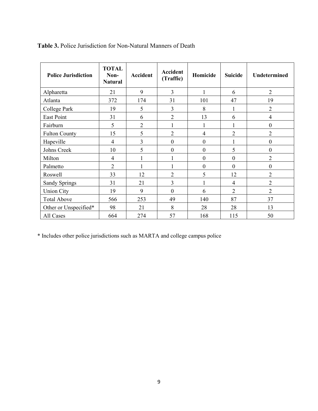| <b>Police Jurisdiction</b> | <b>TOTAL</b><br>Non-<br><b>Natural</b> | <b>Accident</b> | <b>Accident</b><br>(Traffic) | Homicide         | <b>Suicide</b>   | Undetermined     |
|----------------------------|----------------------------------------|-----------------|------------------------------|------------------|------------------|------------------|
| Alpharetta                 | 21                                     | 9               | 3                            | $\mathbf{1}$     | 6                | $\overline{2}$   |
| Atlanta                    | 372                                    | 174             | 31                           | 101              | 47               | 19               |
| College Park               | 19                                     | 5               | 3                            | 8                | 1                | $\overline{2}$   |
| East Point                 | 31                                     | 6               | $\overline{2}$               | 13               | 6                | $\overline{4}$   |
| Fairburn                   | 5                                      | $\overline{2}$  | 1                            | 1                | 1                | $\boldsymbol{0}$ |
| <b>Fulton County</b>       | 15                                     | 5               | $\overline{2}$               | 4                | $\overline{2}$   | $\overline{2}$   |
| Hapeville                  | $\overline{4}$                         | 3               | $\boldsymbol{0}$             | $\boldsymbol{0}$ |                  | $\boldsymbol{0}$ |
| Johns Creek                | 10                                     | 5               | $\boldsymbol{0}$             | $\boldsymbol{0}$ | 5                | $\boldsymbol{0}$ |
| Milton                     | $\overline{4}$                         | 1               |                              | $\boldsymbol{0}$ | $\boldsymbol{0}$ | $\overline{2}$   |
| Palmetto                   | $\overline{2}$                         |                 |                              | $\boldsymbol{0}$ | $\theta$         | $\boldsymbol{0}$ |
| Roswell                    | 33                                     | 12              | $\overline{2}$               | 5                | 12               | $\overline{2}$   |
| Sandy Springs              | 31                                     | 21              | 3                            | $\mathbf{1}$     | $\overline{4}$   | $\overline{2}$   |
| <b>Union City</b>          | 19                                     | 9               | $\mathbf{0}$                 | 6                | $\overline{2}$   | $\overline{2}$   |
| <b>Total Above</b>         | 566                                    | 253             | 49                           | 140              | 87               | 37               |
| Other or Unspecified*      | 98                                     | 21              | 8                            | 28               | 28               | 13               |
| All Cases                  | 664                                    | 274             | 57                           | 168              | 115              | 50               |

**Table 3.** Police Jurisdiction for Non-Natural Manners of Death

\* Includes other police jurisdictions such as MARTA and college campus police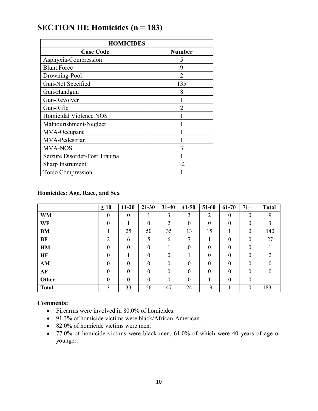| <b>HOMICIDES</b>             |                |  |  |  |  |  |  |  |
|------------------------------|----------------|--|--|--|--|--|--|--|
| <b>Case Code</b>             | <b>Number</b>  |  |  |  |  |  |  |  |
| Asphyxia-Compression         | 5              |  |  |  |  |  |  |  |
| <b>Blunt Force</b>           | 9              |  |  |  |  |  |  |  |
| Drowning-Pool                | $\mathfrak{D}$ |  |  |  |  |  |  |  |
| Gun-Not Specified            | 135            |  |  |  |  |  |  |  |
| Gun-Handgun                  | 8              |  |  |  |  |  |  |  |
| Gun-Revolver                 |                |  |  |  |  |  |  |  |
| Gun-Rifle                    |                |  |  |  |  |  |  |  |
| Homicidal Violence NOS       |                |  |  |  |  |  |  |  |
| Malnourishment-Neglect       |                |  |  |  |  |  |  |  |
| MVA-Occupant                 |                |  |  |  |  |  |  |  |
| MVA-Pedestrian               |                |  |  |  |  |  |  |  |
| <b>MVA-NOS</b>               | 3              |  |  |  |  |  |  |  |
| Seizure Disorder-Post Trauma |                |  |  |  |  |  |  |  |
| Sharp Instrument             | 12             |  |  |  |  |  |  |  |
| Torso Compression            |                |  |  |  |  |  |  |  |

## **SECTION III: Homicides (n = 183)**

#### **Homicides: Age, Race, and Sex**

|              | $\leq 10$        | $11 - 20$        | $21 - 30$        | $31 - 40$      | $41 - 50$    | 51-60          | $61 - 70$        | $71+$            | <b>Total</b>     |
|--------------|------------------|------------------|------------------|----------------|--------------|----------------|------------------|------------------|------------------|
| <b>WM</b>    | $\boldsymbol{0}$ | $\boldsymbol{0}$ |                  | 3              | 3            | $\overline{2}$ | $\boldsymbol{0}$ | $\theta$         | 9                |
| WF           | $\theta$         |                  | $\boldsymbol{0}$ | $\overline{2}$ | $\mathbf{0}$ | $\theta$       | $\theta$         | $\boldsymbol{0}$ | 3                |
| <b>BM</b>    |                  | 25               | 50               | 35             | 13           | 15             |                  | $\theta$         | 140              |
| <b>BF</b>    | $\overline{2}$   | 6                | 5                | 6              | 7            |                | $\theta$         | $\theta$         | 27               |
| HM           | $\theta$         | $\mathbf{0}$     | $\theta$         |                | $\mathbf{0}$ | $\theta$       | $\theta$         | $\theta$         |                  |
| <b>HF</b>    | $\Omega$         |                  | $\theta$         | $\overline{0}$ |              | $\Omega$       | $\theta$         | $\Omega$         | 2                |
| AM           | $\mathbf{0}$     | $\theta$         | $\boldsymbol{0}$ | $\overline{0}$ | $\theta$     | $\theta$       | $\theta$         | $\theta$         | $\boldsymbol{0}$ |
| AF           | $\theta$         | $\mathbf{0}$     | $\theta$         | $\theta$       | $\mathbf{0}$ | $\Omega$       | $\theta$         | $\theta$         | $\mathbf{0}$     |
| Other        | $\Omega$         | $\mathbf{0}$     | $\mathbf{0}$     | $\theta$       | $\mathbf{0}$ |                | $\theta$         | $\Omega$         |                  |
| <b>Total</b> | 3                | 33               | 56               | 47             | 24           | 19             |                  | $\boldsymbol{0}$ | 183              |

- Firearms were involved in 80.0% of homicides.
- 91.3% of homicide victims were black/African-American.
- 82.0% of homicide victims were men.
- 77.0% of homicide victims were black men, 61.0% of which were 40 years of age or younger.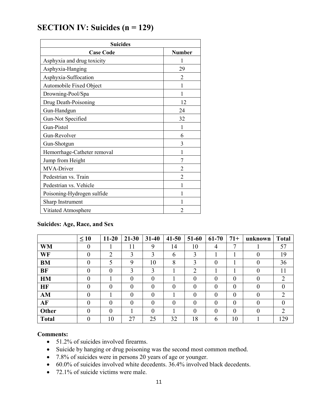## **SECTION IV: Suicides (n = 129)**

| <b>Suicides</b>             |                |  |  |  |  |  |  |
|-----------------------------|----------------|--|--|--|--|--|--|
| <b>Case Code</b>            | <b>Number</b>  |  |  |  |  |  |  |
| Asphyxia and drug toxicity  |                |  |  |  |  |  |  |
| Asphyxia-Hanging            | 29             |  |  |  |  |  |  |
| Asphyxia-Suffocation        | 2              |  |  |  |  |  |  |
| Automobile Fixed Object     | 1              |  |  |  |  |  |  |
| Drowning-Pool/Spa           | 1              |  |  |  |  |  |  |
| Drug Death-Poisoning        | 12             |  |  |  |  |  |  |
| Gun-Handgun                 | 24             |  |  |  |  |  |  |
| Gun-Not Specified           | 32             |  |  |  |  |  |  |
| Gun-Pistol                  | 1              |  |  |  |  |  |  |
| Gun-Revolver                | 6              |  |  |  |  |  |  |
| Gun-Shotgun                 | 3              |  |  |  |  |  |  |
| Hemorrhage-Catheter removal | 1              |  |  |  |  |  |  |
| Jump from Height            | 7              |  |  |  |  |  |  |
| MVA-Driver                  | 2              |  |  |  |  |  |  |
| Pedestrian vs. Train        | $\overline{c}$ |  |  |  |  |  |  |
| Pedestrian vs. Vehicle      | 1              |  |  |  |  |  |  |
| Poisoning-Hydrogen sulfide  | 1              |  |  |  |  |  |  |
| Sharp Instrument            |                |  |  |  |  |  |  |
| Vitiated Atmosphere         | $\overline{c}$ |  |  |  |  |  |  |

#### **Suicides: Age, Race, and Sex**

|              | $\leq 10$      | $11 - 20$ | $21 - 30$ | $31 - 40$ | $41 - 50$ | 51-60          | $61 - 70$    | $71+$          | unknown  | <b>Total</b>   |
|--------------|----------------|-----------|-----------|-----------|-----------|----------------|--------------|----------------|----------|----------------|
| <b>WM</b>    | $\overline{0}$ |           | 11        | 9         | 14        | 10             | 4            | 7              |          | 57             |
| WF           | $\theta$       | ↑         | 3         | 3         | 6         | 3              |              |                | $\theta$ | 19             |
| <b>BM</b>    | 0              | 5         | 9         | 10        | 8         | 3              | 0            |                | $\Omega$ | 36             |
| <b>BF</b>    | 0              | $\theta$  | 3         | 3         |           | $\overline{2}$ |              |                | $\theta$ | 11             |
| <b>HM</b>    | $\theta$       |           | $\theta$  | $\theta$  |           | $\theta$       | $\theta$     | $\overline{0}$ | $\theta$ | $\overline{2}$ |
| <b>HF</b>    | $\theta$       | $\Omega$  | $\theta$  | $\theta$  | $\theta$  | $\theta$       | $\theta$     | $\theta$       | $\theta$ | $\theta$       |
| AM           | 0              |           | $\theta$  | $\theta$  |           | $\overline{0}$ | $\mathbf{0}$ | $\overline{0}$ | $\theta$ | $\overline{2}$ |
| AF           | $\theta$       | $\theta$  | $\theta$  | $\theta$  | $\theta$  | $\theta$       | $\theta$     | $\overline{0}$ | $\theta$ | $\theta$       |
| Other        | $\theta$       | $\theta$  |           | $\theta$  |           | $\theta$       | $\theta$     | $\theta$       | $\theta$ | $\overline{2}$ |
| <b>Total</b> | 0              | 10        | 27        | 25        | 32        | 18             | 6            | 10             |          | 129            |

- 51.2% of suicides involved firearms.
- Suicide by hanging or drug poisoning was the second most common method.
- 7.8% of suicides were in persons 20 years of age or younger.
- 60.0% of suicides involved white decedents. 36.4% involved black decedents.
- 72.1% of suicide victims were male.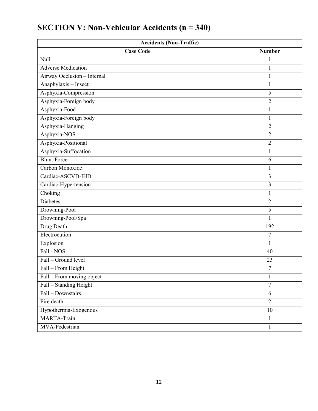| <b>Accidents (Non-Traffic)</b> |                |  |  |  |  |  |
|--------------------------------|----------------|--|--|--|--|--|
| <b>Case Code</b>               | <b>Number</b>  |  |  |  |  |  |
| Null                           | $\mathbf{1}$   |  |  |  |  |  |
| <b>Adverse Medication</b>      | $\mathbf{1}$   |  |  |  |  |  |
| Airway Occlusion - Internal    | 1              |  |  |  |  |  |
| Anaphylaxis - Insect           | $\mathbf{1}$   |  |  |  |  |  |
| Asphyxia-Compression           | 5              |  |  |  |  |  |
| Asphyxia-Foreign body          | $\overline{2}$ |  |  |  |  |  |
| Asphyxia-Food                  | $\mathbf{1}$   |  |  |  |  |  |
| Asphyxia-Foreign body          | $\mathbf{1}$   |  |  |  |  |  |
| Asphyxia-Hanging               | $\overline{2}$ |  |  |  |  |  |
| Asphyxia-NOS                   | $\overline{2}$ |  |  |  |  |  |
| Asphyxia-Positional            | $\overline{2}$ |  |  |  |  |  |
| Asphyxia-Suffocation           | $\mathbf{1}$   |  |  |  |  |  |
| <b>Blunt Force</b>             | 6              |  |  |  |  |  |
| Carbon Monoxide                | $\mathbf{1}$   |  |  |  |  |  |
| Cardiac-ASCVD-IHD              | $\overline{3}$ |  |  |  |  |  |
| Cardiac-Hypertension           | 3              |  |  |  |  |  |
| Choking                        | $\mathbf{1}$   |  |  |  |  |  |
| <b>Diabetes</b>                | $\overline{2}$ |  |  |  |  |  |
| Drowning-Pool                  | 5              |  |  |  |  |  |
| Drowning-Pool/Spa              | 1              |  |  |  |  |  |
| Drug Death                     | 192            |  |  |  |  |  |
| Electrocution                  | $\overline{7}$ |  |  |  |  |  |
| Explosion                      | $\mathbf{1}$   |  |  |  |  |  |
| Fall - NOS                     | 40             |  |  |  |  |  |
| Fall – Ground level            | 23             |  |  |  |  |  |
| Fall - From Height             | 7              |  |  |  |  |  |
| Fall - From moving object      | $\mathbf{1}$   |  |  |  |  |  |
| Fall - Standing Height         | 7              |  |  |  |  |  |
| Fall - Downstairs              | 6              |  |  |  |  |  |
| Fire death                     | $\overline{2}$ |  |  |  |  |  |
| Hypothermia-Exogenous          | 10             |  |  |  |  |  |
| MARTA-Train                    | $\mathbf{1}$   |  |  |  |  |  |
| MVA-Pedestrian                 | $\mathbf{1}$   |  |  |  |  |  |

## **SECTION V: Non-Vehicular Accidents (n = 340)**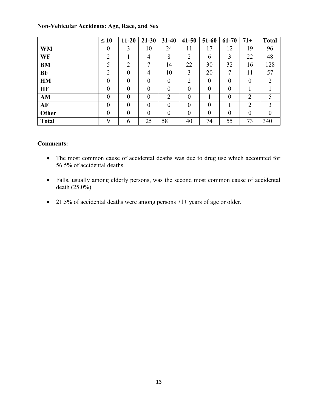|              | $\leq 10$      | $11 - 20$        | $21 - 30$        | $31-40$        | $41 - 50$      | 51-60          | $61 - 70$      | $71+$          | <b>Total</b> |
|--------------|----------------|------------------|------------------|----------------|----------------|----------------|----------------|----------------|--------------|
| <b>WM</b>    | $\overline{0}$ | 3                | 10               | 24             | 11             | 17             | 12             | 19             | 96           |
| WF           | $\overline{2}$ |                  | 4                | 8              | $\overline{2}$ | 6              | 3              | 22             | 48           |
| <b>BM</b>    | 5              | $\overline{2}$   | 7                | 14             | 22             | 30             | 32             | 16             | 128          |
| <b>BF</b>    | $\overline{2}$ | $\boldsymbol{0}$ | 4                | 10             | 3              | 20             | 7              | 11             | 57           |
| <b>HM</b>    | $\theta$       | $\theta$         | $\boldsymbol{0}$ | $\overline{0}$ | $\overline{2}$ | $\overline{0}$ | $\overline{0}$ | $\theta$       | 2            |
| HF           | $\theta$       | $\theta$         | $\theta$         | $\theta$       | $\theta$       | $\theta$       | $\theta$       |                |              |
| AM           | $\overline{0}$ | $\theta$         | $\boldsymbol{0}$ | $\overline{2}$ | $\theta$       |                | $\overline{0}$ | $\overline{2}$ | 5            |
| AF           | $\theta$       | $\theta$         | $\boldsymbol{0}$ | $\theta$       | $\theta$       | $\theta$       |                | $\overline{2}$ | 3            |
| Other        | $\theta$       | $\theta$         | $\overline{0}$   | $\overline{0}$ | $\theta$       | $\theta$       | $\theta$       | $\theta$       | $\theta$     |
| <b>Total</b> | 9              | 6                | 25               | 58             | 40             | 74             | 55             | 73             | 340          |

#### **Non-Vehicular Accidents: Age, Race, and Sex**

- The most common cause of accidental deaths was due to drug use which accounted for 56.5% of accidental deaths.
- Falls, usually among elderly persons, was the second most common cause of accidental death  $(25.0\%)$
- 21.5% of accidental deaths were among persons 71+ years of age or older.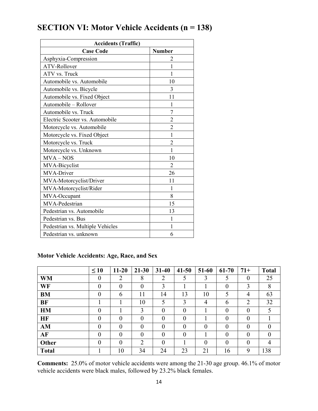| <b>Accidents (Traffic)</b>       |                |  |  |  |  |  |  |  |
|----------------------------------|----------------|--|--|--|--|--|--|--|
| <b>Case Code</b>                 | <b>Number</b>  |  |  |  |  |  |  |  |
| Asphyxia-Compression             | 2              |  |  |  |  |  |  |  |
| ATV-Rollover                     | 1              |  |  |  |  |  |  |  |
| ATV vs. Truck                    | 1              |  |  |  |  |  |  |  |
| Automobile vs. Automobile        | 10             |  |  |  |  |  |  |  |
| Automobile vs. Bicycle           | 3              |  |  |  |  |  |  |  |
| Automobile vs. Fixed Object      | 11             |  |  |  |  |  |  |  |
| Automobile - Rollover            | 1              |  |  |  |  |  |  |  |
| Automobile vs. Truck             | 7              |  |  |  |  |  |  |  |
| Electric Scooter vs. Automobile  | $\overline{2}$ |  |  |  |  |  |  |  |
| Motorcycle vs. Automobile        | $\overline{c}$ |  |  |  |  |  |  |  |
| Motorcycle vs. Fixed Object      | $\mathbf{1}$   |  |  |  |  |  |  |  |
| Motorcycle vs. Truck             | $\overline{2}$ |  |  |  |  |  |  |  |
| Motorcycle vs. Unknown           | 1              |  |  |  |  |  |  |  |
| $MVA - NOS$                      | 10             |  |  |  |  |  |  |  |
| MVA-Bicyclist                    | $\overline{2}$ |  |  |  |  |  |  |  |
| MVA-Driver                       | 26             |  |  |  |  |  |  |  |
| MVA-Motorcyclist/Driver          | 11             |  |  |  |  |  |  |  |
| MVA-Motorcyclist/Rider           | 1              |  |  |  |  |  |  |  |
| MVA-Occupant                     | 8              |  |  |  |  |  |  |  |
| MVA-Pedestrian                   | 15             |  |  |  |  |  |  |  |
| Pedestrian vs. Automobile        | 13             |  |  |  |  |  |  |  |
| Pedestrian vs. Bus               | 1              |  |  |  |  |  |  |  |
| Pedestrian vs. Multiple Vehicles | 1              |  |  |  |  |  |  |  |
| Pedestrian vs. unknown           | 6              |  |  |  |  |  |  |  |

## **SECTION VI: Motor Vehicle Accidents (n = 138)**

#### **Motor Vehicle Accidents: Age, Race, and Sex**

|              | $\leq 10$        | $11 - 20$ | $21 - 30$        | $31-40$        | $41 - 50$ | 51-60          | 61-70          | $71+$          | <b>Total</b> |
|--------------|------------------|-----------|------------------|----------------|-----------|----------------|----------------|----------------|--------------|
| <b>WM</b>    | $\boldsymbol{0}$ | 2         | 8                | $\overline{2}$ | 5         | 3              | 5              | $\theta$       | 25           |
| WF           | $\overline{0}$   | $\theta$  | $\boldsymbol{0}$ | 3              |           |                | $\overline{0}$ | 3              | 8            |
| <b>BM</b>    | $\overline{0}$   | 6         | 11               | 14             | 13        | 10             | 5              | 4              | 63           |
| <b>BF</b>    |                  |           | 10               | 5              | 3         | 4              | 6              | $\overline{2}$ | 32           |
| <b>HM</b>    | $\overline{0}$   |           | 3                | $\theta$       | $\theta$  |                | $\overline{0}$ | 0              | 5            |
| <b>HF</b>    | $\theta$         | $\theta$  | $\theta$         | $\Omega$       | $\theta$  |                | $\overline{0}$ | 0              |              |
| AM           | $\overline{0}$   | $\theta$  | $\theta$         | $\theta$       | $\theta$  | $\theta$       | $\theta$       |                | $\Omega$     |
| AF           | $\theta$         | $\theta$  | $\theta$         | $\theta$       | $\theta$  |                | $\overline{0}$ | 0              | $\Omega$     |
| Other        | $\theta$         | $\theta$  | $\overline{2}$   | $\theta$       |           | $\overline{0}$ | $\overline{0}$ | 0              | 4            |
| <b>Total</b> |                  | 10        | 34               | 24             | 23        | 21             | 16             | 9              | 138          |

**Comments:** 25.0% of motor vehicle accidents were among the 21-30 age group. 46.1% of motor vehicle accidents were black males, followed by 23.2% black females.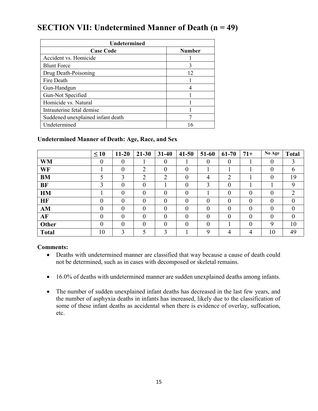## **SECTION VII: Undetermined Manner of Death (n = 49)**

| Undetermined                      |               |  |  |  |  |  |
|-----------------------------------|---------------|--|--|--|--|--|
| <b>Case Code</b>                  | <b>Number</b> |  |  |  |  |  |
| Accident vs. Homicide             |               |  |  |  |  |  |
| <b>Blunt Force</b>                | 3             |  |  |  |  |  |
| Drug Death-Poisoning              | 12            |  |  |  |  |  |
| Fire Death                        |               |  |  |  |  |  |
| Gun-Handgun                       |               |  |  |  |  |  |
| Gun-Not Specified                 |               |  |  |  |  |  |
| Homicide vs. Natural              |               |  |  |  |  |  |
| Intrauterine fetal demise         |               |  |  |  |  |  |
| Suddened unexplained infant death |               |  |  |  |  |  |
| Undetermined                      | 16            |  |  |  |  |  |

#### **Undetermined Manner of Death: Age, Race, and Sex**

|              | $\leq 10$        | $11 - 20$        | $21 - 30$ | $31 - 40$        | $41 - 50$      | 51-60    | 61-70          | $71+$          | No Age           | <b>Total</b>  |
|--------------|------------------|------------------|-----------|------------------|----------------|----------|----------------|----------------|------------------|---------------|
| <b>WM</b>    | $\boldsymbol{0}$ | 0                |           | $\boldsymbol{0}$ |                | $\theta$ | $\theta$       |                | $\boldsymbol{0}$ | 3             |
| WF           |                  | $\boldsymbol{0}$ | 2         | $\boldsymbol{0}$ | 0              |          |                |                | $\boldsymbol{0}$ | 6             |
| <b>BM</b>    |                  | 3                | 2         | $\overline{2}$   | $\theta$       | 4        | $\overline{2}$ |                | $\theta$         | 19            |
| BF           |                  | 0                | 0         |                  | $\overline{0}$ | 3        | $\theta$       |                |                  | 9             |
| <b>HM</b>    |                  | $\overline{0}$   | 0         | 0                | 0              |          | $\theta$       | $\overline{0}$ | $\theta$         | $\mathcal{D}$ |
| <b>HF</b>    | 0                | 0                | 0         | 0                | $\theta$       | $\theta$ | $\overline{0}$ | $\overline{0}$ | $\theta$         | $\Omega$      |
| AM           | $\theta$         | $\theta$         | 0         | $\theta$         | $\theta$       | $\theta$ | $\theta$       | $\theta$       | $\theta$         | $\theta$      |
| AF           | $\theta$         | $\overline{0}$   | 0         | $\overline{0}$   | $\theta$       | $\theta$ | $\theta$       | $\theta$       | $\theta$         | $\theta$      |
| Other        | 0                | 0                | 0         | 0                | $\theta$       | $\theta$ |                | $\theta$       | 9                | 10            |
| <b>Total</b> | 10               | 3                |           | 3                |                | 9        | 4              | 4              | 10               | 49            |

- Deaths with undetermined manner are classified that way because a cause of death could not be determined, such as in cases with decomposed or skeletal remains.
- 16.0% of deaths with undetermined manner are sudden unexplained deaths among infants.
- The number of sudden unexplained infant deaths has decreased in the last few years, and the number of asphyxia deaths in infants has increased, likely due to the classification of some of these infant deaths as accidental when there is evidence of overlay, suffocation, etc.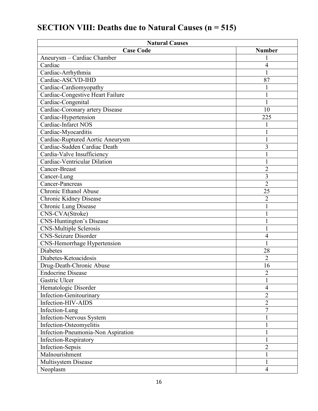| <b>Natural Causes</b>              |                |
|------------------------------------|----------------|
| <b>Case Code</b>                   | <b>Number</b>  |
| Aneurysm - Cardiac Chamber         |                |
| Cardiac                            | 4              |
| Cardiac-Arrhythmia                 |                |
| Cardiac-ASCVD-IHD                  | 87             |
| Cardiac-Cardiomyopathy             |                |
| Cardiac-Congestive Heart Failure   |                |
| Cardiac-Congenital                 |                |
| Cardiac-Coronary artery Disease    | 10             |
| Cardiac-Hypertension               | 225            |
| Cardiac-Infarct NOS                |                |
| Cardiac-Myocarditis                |                |
| Cardiac-Ruptured Aortic Aneurysm   |                |
| Cardiac-Sudden Cardiac Death       | 3              |
| Cardia-Valve Insufficiency         |                |
| Cardiac-Ventricular Dilation       |                |
| Cancer-Breast                      | $\overline{2}$ |
| Cancer-Lung                        | 3              |
| Cancer-Pancreas                    | $\overline{2}$ |
| Chronic Ethanol Abuse              | 25             |
| Chronic Kidney Disease             | $\overline{2}$ |
| Chronic Lung Disease               |                |
| CNS-CVA(Stroke)                    |                |
| <b>CNS-Huntington's Disease</b>    | 1              |
| <b>CNS-Multiple Sclerosis</b>      |                |
| <b>CNS-Seizure Disorder</b>        | 4              |
| <b>CNS-Hemorrhage Hypertension</b> |                |
| <b>Diabetes</b>                    | 28             |
| Diabetes-Ketoacidosis              | $\overline{2}$ |
| Drug-Death-Chronic Abuse           | 16             |
| <b>Endocrine Disease</b>           | $\overline{c}$ |
| Gastric Ulcer                      |                |
| Hematologic Disorder               | $\overline{4}$ |
| Infection-Genitourinary            | $\overline{2}$ |
| Infection-HIV-AIDS                 | $\overline{2}$ |
| Infection-Lung                     | 7              |
| Infection-Nervous System           |                |
| Infection-Osteomyelitis            | $\mathbf 1$    |
| Infection-Pneumonia-Non Aspiration |                |
| Infection-Respiratory              |                |
| <b>Infection-Sepsis</b>            | $\overline{2}$ |
| Malnourishment                     | 1              |
| Multisystem Disease                | 1              |
| Neoplasm                           | $\overline{4}$ |

## **SECTION VIII: Deaths due to Natural Causes (n = 515)**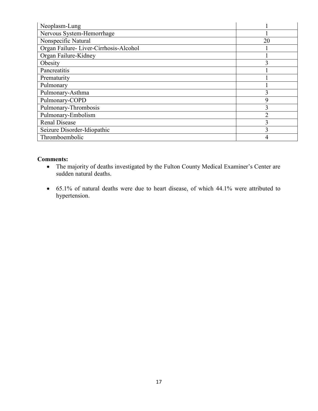| Neoplasm-Lung                         |                |
|---------------------------------------|----------------|
| Nervous System-Hemorrhage             |                |
| Nonspecific Natural                   | 20             |
| Organ Failure-Liver-Cirrhosis-Alcohol |                |
| Organ Failure-Kidney                  |                |
| Obesity                               |                |
| Pancreatitis                          |                |
| Prematurity                           |                |
| Pulmonary                             |                |
| Pulmonary-Asthma                      | 3              |
| Pulmonary-COPD                        | $\mathbf Q$    |
| Pulmonary-Thrombosis                  | 3              |
| Pulmonary-Embolism                    | $\overline{2}$ |
| <b>Renal Disease</b>                  |                |
| Seizure Disorder-Idiopathic           |                |
| Thromboembolic                        | 4              |

- The majority of deaths investigated by the Fulton County Medical Examiner's Center are sudden natural deaths.
- 65.1% of natural deaths were due to heart disease, of which 44.1% were attributed to hypertension.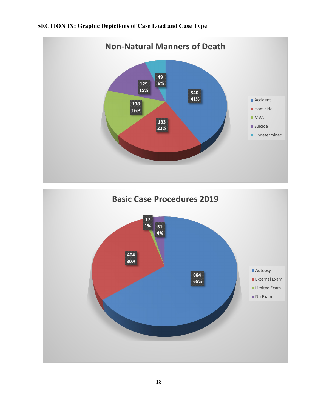#### **SECTION IX: Graphic Depictions of Case Load and Case Type**



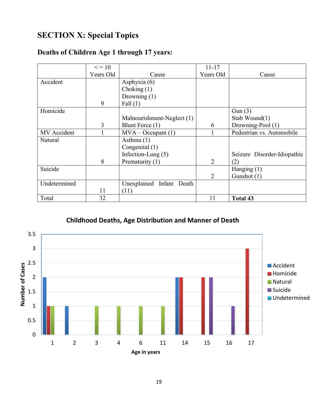## **SECTION X: Special Topics**

| Deaths of Children Age 1 through 17 years: |  |  |  |
|--------------------------------------------|--|--|--|
|--------------------------------------------|--|--|--|

|              | $\leq$ = 10 |                            | $11 - 17$      |                             |
|--------------|-------------|----------------------------|----------------|-----------------------------|
|              | Years Old   | Cause                      | Years Old      | Cause                       |
| Accident     |             | Asphyxia (6)               |                |                             |
|              |             | Choking $(1)$              |                |                             |
|              |             | Drowning $(1)$             |                |                             |
|              | 9           | Fall $(1)$                 |                |                             |
| Homicide     |             |                            |                | Gun(3)                      |
|              |             | Malnourishment-Neglect (1) |                | Stab Wound(1)               |
|              | 3           | Blunt Force (1)            | 6              | Drowning-Pool (1)           |
| MV Accident  |             | $MVA - Occupant(1)$        |                | Pedestrian vs. Automobile   |
| Natural      |             | Asthma $(1)$               |                |                             |
|              |             | Congenital (1)             |                |                             |
|              |             | Infection-Lung $(5)$       |                | Seizure Disorder-Idiopathic |
|              | 8           | Prematurity (1)            | $\overline{2}$ | (2)                         |
| Suicide      |             |                            |                | Hanging $(1)$               |
|              |             |                            | 2              | Gunshot (1)                 |
| Undetermined |             | Unexplained Infant Death   |                |                             |
|              | 11          | (11)                       |                |                             |
| Total        | 32          |                            | 11             | <b>Total 43</b>             |

**Childhood Deaths, Age Distribution and Manner of Death**

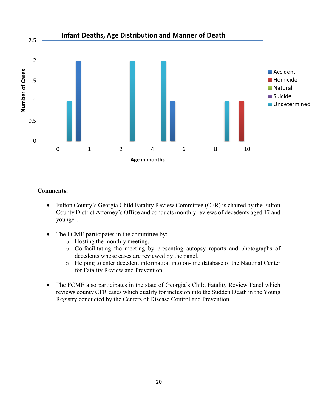

- Fulton County's Georgia Child Fatality Review Committee (CFR) is chaired by the Fulton County District Attorney's Office and conducts monthly reviews of decedents aged 17 and younger.
- The FCME participates in the committee by:
	- o Hosting the monthly meeting.
	- o Co-facilitating the meeting by presenting autopsy reports and photographs of decedents whose cases are reviewed by the panel.
	- o Helping to enter decedent information into on-line database of the National Center for Fatality Review and Prevention.
- The FCME also participates in the state of Georgia's Child Fatality Review Panel which reviews county CFR cases which qualify for inclusion into the Sudden Death in the Young Registry conducted by the Centers of Disease Control and Prevention.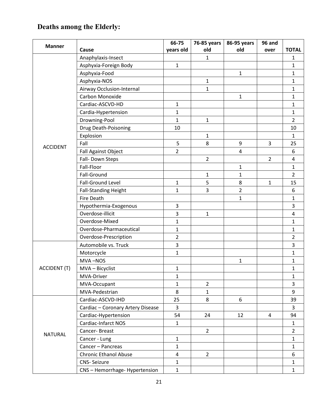## **Deaths among the Elderly:**

|                     |                                   | 66-75          | 76-85 years    | 86-95 years    | 96 and         |                |
|---------------------|-----------------------------------|----------------|----------------|----------------|----------------|----------------|
| <b>Manner</b>       | Cause                             | years old      | old            | old            | over           | <b>TOTAL</b>   |
|                     | Anaphylaxis-Insect                |                | $\mathbf{1}$   |                |                | 1              |
|                     | Asphyxia-Foreign Body             | $\mathbf{1}$   |                |                |                | 1              |
|                     | Asphyxia-Food                     |                |                | $\mathbf{1}$   |                | 1              |
|                     | Asphyxia-NOS                      |                | $\mathbf{1}$   |                |                | 1              |
|                     | Airway Occlusion-Internal         |                | $\mathbf{1}$   |                |                | $\mathbf{1}$   |
|                     | Carbon Monoxide                   |                |                | $\mathbf{1}$   |                | $\mathbf{1}$   |
|                     | Cardiac-ASCVD-HD                  | $\mathbf{1}$   |                |                |                | 1              |
|                     | Cardia-Hypertension               | $\mathbf{1}$   |                |                |                | $\mathbf{1}$   |
|                     | Drowning-Pool                     | $\mathbf{1}$   | $\mathbf{1}$   |                |                | $\overline{2}$ |
|                     | Drug Death-Poisoning              | 10             |                |                |                | 10             |
|                     | Explosion                         |                | $\mathbf{1}$   |                |                | $\mathbf{1}$   |
| <b>ACCIDENT</b>     | Fall                              | 5              | 8              | 9              | $\overline{3}$ | 25             |
|                     | <b>Fall Against Object</b>        | $\overline{2}$ |                | $\overline{a}$ |                | 6              |
|                     | Fall- Down Steps                  |                | $\overline{2}$ |                | $\overline{2}$ | 4              |
|                     | Fall-Floor                        |                |                | $\mathbf{1}$   |                | $\mathbf{1}$   |
|                     | Fall-Ground                       |                | $\mathbf{1}$   | $\mathbf{1}$   |                | $\overline{2}$ |
|                     | Fall-Ground Level                 | $\mathbf{1}$   | 5              | 8              | 1              | 15             |
|                     | <b>Fall-Standing Height</b>       | 1              | 3              | $\overline{2}$ |                | 6              |
|                     | <b>Fire Death</b>                 |                |                | $\mathbf{1}$   |                | 1              |
|                     | Hypothermia-Exogenous             | 3              |                |                |                | 3              |
|                     | Overdose-illicit                  | 3              | $\mathbf{1}$   |                |                | 4              |
|                     | Overdose-Mixed                    | $\mathbf{1}$   |                |                |                | $\mathbf{1}$   |
|                     | Overdose-Pharmaceutical           | $\mathbf{1}$   |                |                |                | $\mathbf{1}$   |
|                     | Overdose-Prescription             | $\overline{2}$ |                |                |                | $\overline{2}$ |
|                     | Automobile vs. Truck              | 3              |                |                |                | 3              |
|                     | Motorcycle                        | 1              |                |                |                | $\mathbf{1}$   |
|                     | MVA-NOS                           |                |                | $\mathbf 1$    |                | $\mathbf{1}$   |
| <b>ACCIDENT (T)</b> | MVA - Bicyclist                   | 1              |                |                |                | $\mathbf{1}$   |
|                     | MVA-Driver                        | $\mathbf{1}$   |                |                |                | 1              |
|                     | MVA-Occupant                      | $\mathbf{1}$   | $\overline{2}$ |                |                | 3              |
|                     | MVA-Pedestrian                    | 8              | $\mathbf{1}$   |                |                | 9              |
|                     | Cardiac-ASCVD-IHD                 | 25             | 8              | 6              |                | 39             |
|                     | Cardiac - Coronary Artery Disease | 3              |                |                |                | 3              |
|                     | Cardiac-Hypertension              | 54             | 24             | 12             | 4              | 94             |
|                     | Cardiac-Infarct NOS               | $\mathbf{1}$   |                |                |                | $\mathbf{1}$   |
| <b>NATURAL</b>      | Cancer-Breast                     |                | $2^{\circ}$    |                |                | $\overline{2}$ |
|                     | Cancer - Lung                     | $\mathbf{1}$   |                |                |                | $\mathbf{1}$   |
|                     | Cancer - Pancreas                 | $\mathbf{1}$   |                |                |                | $\mathbf{1}$   |
|                     | <b>Chronic Ethanol Abuse</b>      | 4              | $\overline{2}$ |                |                | 6              |
|                     | <b>CNS-Seizure</b>                | $\mathbf{1}$   |                |                |                | $\mathbf{1}$   |
|                     | CNS - Hemorrhage- Hypertension    | $\mathbf{1}$   |                |                |                | $\mathbf{1}$   |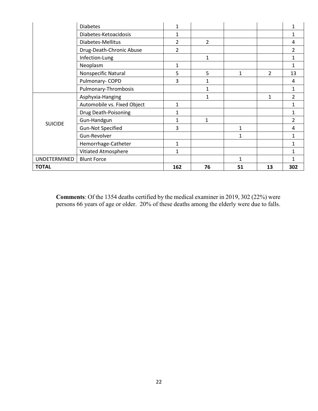|                | <b>Diabetes</b>             | 1   |    |    |                |                |
|----------------|-----------------------------|-----|----|----|----------------|----------------|
|                | Diabetes-Ketoacidosis       | 1   |    |    |                | 1              |
|                | Diabetes-Mellitus           | 2   | 2  |    |                | 4              |
|                | Drug-Death-Chronic Abuse    | 2   |    |    |                | 2              |
|                | Infection-Lung              |     | 1  |    |                | 1              |
|                | Neoplasm                    | 1   |    |    |                | 1              |
|                | Nonspecific Natural         | 5   | 5  | 1  | $\overline{2}$ | 13             |
|                | Pulmonary-COPD              | 3   | 1  |    |                | 4              |
|                | Pulmonary-Thrombosis        |     | 1  |    |                | 1              |
|                | Asphyxia-Hanging            |     | 1  |    | 1              | $\overline{2}$ |
|                | Automobile vs. Fixed Object | 1   |    |    |                | 1              |
|                | Drug Death-Poisoning        | 1   |    |    |                | 1              |
| <b>SUICIDE</b> | Gun-Handgun                 | 1   | 1  |    |                | $\overline{2}$ |
|                | <b>Gun-Not Specified</b>    | 3   |    | 1  |                | 4              |
|                | Gun-Revolver                |     |    | 1  |                | 1              |
|                | Hemorrhage-Catheter         | 1   |    |    |                | 1              |
|                | Vitiated Atmosphere         | 1   |    |    |                | 1              |
| UNDETERMINED   | <b>Blunt Force</b>          |     |    | 1  |                | 1              |
| <b>TOTAL</b>   |                             | 162 | 76 | 51 | 13             | 302            |

**Comments**: Of the 1354 deaths certified by the medical examiner in 2019, 302 (22%) were persons 66 years of age or older. 20% of these deaths among the elderly were due to falls.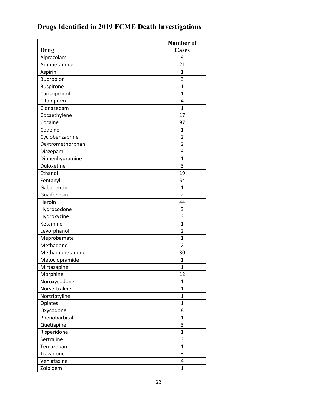|                  | <b>Number of</b> |
|------------------|------------------|
| Drug             | <b>Cases</b>     |
| Alprazolam       | 9                |
| Amphetamine      | 21               |
| Aspirin          | 1                |
| Bupropion        | 3                |
| <b>Buspirone</b> | $\mathbf{1}$     |
| Carisoprodol     | $\mathbf{1}$     |
| Citalopram       | 4                |
| Clonazepam       | $\mathbf{1}$     |
| Cocaethylene     | 17               |
| Cocaine          | 97               |
| Codeine          | $\mathbf{1}$     |
| Cyclobenzaprine  | $\overline{2}$   |
| Dextromethorphan | $\overline{2}$   |
| Diazepam         | 3                |
| Diphenhydramine  | $\mathbf{1}$     |
| Duloxetine       | 3                |
| Ethanol          | 19               |
| Fentanyl         | 54               |
| Gabapentin       | $\mathbf{1}$     |
| Guaifenesin      | $\overline{2}$   |
| Heroin           | 44               |
| Hydrocodone      | 3                |
| Hydroxyzine      | 3                |
| Ketamine         | 1                |
| Levorphanol      | $\overline{2}$   |
| Meprobamate      | $\mathbf{1}$     |
| Methadone        | $\overline{2}$   |
| Methamphetamine  | 30               |
| Metoclopramide   | 1                |
| Mirtazapine      | $\overline{1}$   |
| Morphine         | 12               |
| Noroxycodone     | 1                |
| Norsertraline    | $\mathbf{1}$     |
| Nortriptyline    | $\overline{1}$   |
| Opiates          | $\mathbf{1}$     |
| Oxycodone        | 8                |
| Phenobarbital    | $\mathbf{1}$     |
| Quetiapine       | 3                |
| Risperidone      | $\overline{1}$   |
| Sertraline       | 3                |
| Temazepam        | $\mathbf{1}$     |
| Trazadone        | 3                |
| Venlafaxine      | 4                |
| Zolpidem         | $\overline{1}$   |

## **Drugs Identified in 2019 FCME Death Investigations**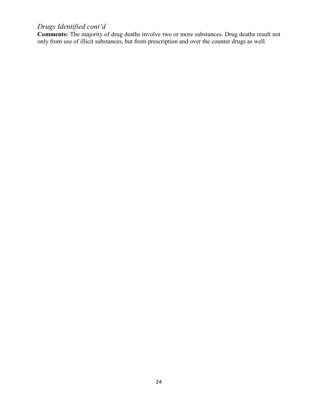#### *Drugs Identified cont'd*

**Comments:** The majority of drug deaths involve two or more substances. Drug deaths result not only from use of illicit substances, but from prescription and over the counter drugs as well.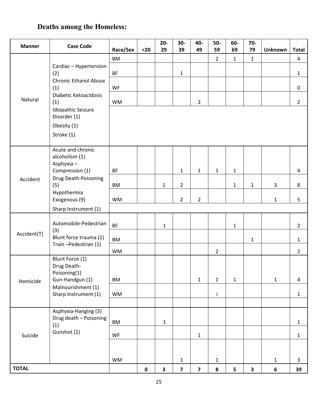## **Deaths among the Homeless:**

| <b>Manner</b> | <b>Case Code</b>                                                    | Race/Sex  | $20$      | $20-$<br>29             | 30-<br>39               | 40-<br>49               | $50-$<br>59    | 60-<br>69    | $70-$<br>79  | <b>Unknown</b> | <b>Total</b>   |
|---------------|---------------------------------------------------------------------|-----------|-----------|-------------------------|-------------------------|-------------------------|----------------|--------------|--------------|----------------|----------------|
|               |                                                                     | <b>BM</b> |           |                         |                         |                         | $\overline{2}$ | $\mathbf{1}$ | $\mathbf{1}$ |                | 4              |
|               | Cardiac - Hypertension<br>(2)                                       | <b>BF</b> |           |                         | $\mathbf{1}$            |                         |                |              |              |                | $\mathbf{1}$   |
| (1)           | <b>Chronic Ethanol Abuse</b>                                        | WF        |           |                         |                         |                         |                |              |              |                | $\pmb{0}$      |
| Natural       | Diabetic Ketoacidosis<br>(1)                                        | <b>WM</b> |           |                         |                         | $\overline{2}$          |                |              |              |                | $\overline{2}$ |
|               | <b>Idiopathic Seizure</b><br>Disorder (1)<br>Obesity (1)            |           |           |                         |                         |                         |                |              |              |                |                |
|               | Stroke (1)                                                          |           |           |                         |                         |                         |                |              |              |                |                |
|               | Acute and chronic<br>alcoholism (1)<br>Asphyxia-<br>Compression (1) | <b>BF</b> |           |                         | $\mathbf{1}$            | $\mathbf{1}$            | $\mathbf 1$    | $\mathbf{1}$ |              |                | $\overline{4}$ |
| Accident      | Drug Death-Poisoning                                                |           |           |                         |                         |                         |                |              |              |                |                |
|               | (5)<br>Hypothermia<br>Exogenous (9)                                 | <b>BM</b> |           | $\mathbf{1}$            | $\overline{2}$          |                         |                | $\mathbf{1}$ | $\mathbf{1}$ | 3              | 8              |
|               |                                                                     | <b>WM</b> |           |                         | $\overline{2}$          | $\overline{2}$          |                |              |              | $\mathbf{1}$   | 5              |
|               | Sharp Instrument (1)                                                |           |           |                         |                         |                         |                |              |              |                |                |
|               | Automobile-Pedestrian<br>(3)                                        | <b>BF</b> |           | $\mathbf{1}$            |                         |                         |                | $\mathbf{1}$ |              |                | $\overline{2}$ |
| Accident(T)   | Blunt force trauma (1)                                              | <b>BM</b> |           |                         |                         |                         |                |              | $\mathbf{1}$ |                | $\mathbf{1}$   |
|               | Train-Pedestrian (1)                                                | <b>WM</b> |           |                         |                         |                         | $\overline{2}$ |              |              |                | $\overline{2}$ |
|               | Blunt Force (1)<br>Drug Death-<br>Poisoning(1)                      |           |           |                         |                         |                         |                |              |              |                |                |
| Homicide      | Gun-Handgun (1)<br>Malnourishment (1)                               | <b>BM</b> |           |                         |                         | $\mathbf 1$             | $\mathbf 1$    | $\mathbf{1}$ |              | $\mathbf{1}$   | $\overline{4}$ |
|               | Sharp Instrument (1)                                                | <b>WM</b> |           |                         |                         |                         | $\mathbf{1}$   |              |              |                | $\mathbf 1$    |
|               |                                                                     |           |           |                         |                         |                         |                |              |              |                |                |
|               | Asphyxia-Hanging (3)<br>Drug death - Poisoning<br>(1)               | <b>BM</b> |           | $\mathbf{1}$            |                         |                         |                |              |              |                | $\mathbf{1}$   |
| Suicide       | Gunshot (1)                                                         | WF        |           |                         |                         | $\mathbf{1}$            |                |              |              |                | $\mathbf{1}$   |
|               |                                                                     |           |           |                         |                         |                         |                |              |              |                |                |
|               |                                                                     | <b>WM</b> |           |                         | $\mathbf{1}$            |                         | 1              |              |              | $\mathbf{1}$   | $\mathbf{3}$   |
| <b>TOTAL</b>  |                                                                     |           | $\pmb{0}$ | $\overline{\mathbf{3}}$ | $\overline{\mathbf{z}}$ | $\overline{\mathbf{z}}$ | 8              | ${\bf 5}$    | 3            | $\bf 6$        | 39             |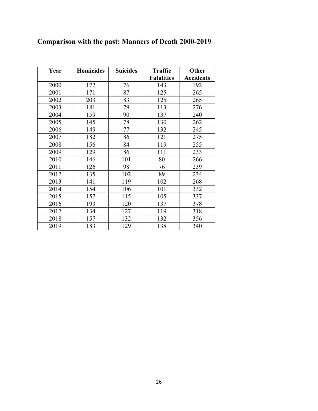| Year | <b>Homicides</b> | <b>Suicides</b> | <b>Traffic</b>    | Other            |
|------|------------------|-----------------|-------------------|------------------|
|      |                  |                 | <b>Fatalities</b> | <b>Accidents</b> |
| 2000 | 172              | 76              | 143               | 192              |
| 2001 | 171              | 87              | 125               | 265              |
| 2002 | 203              | 83              | 125               | 265              |
| 2003 | 181              | 79              | 113               | 276              |
| 2004 | 159              | 90              | 137               | 240              |
| 2005 | 145              | 78              | 130               | 262              |
| 2006 | 149              | 77              | 132               | 245              |
| 2007 | 182              | 86              | 121               | 275              |
| 2008 | 156              | 84              | 119               | 255              |
| 2009 | 129              | 86              | 111               | 233              |
| 2010 | 146              | 101             | 80                | 266              |
| 2011 | 126              | 98              | 76                | 239              |
| 2012 | 135              | 102             | 89                | 234              |
| 2013 | 141              | 119             | 102               | 268              |
| 2014 | 154              | 106             | 101               | 332              |
| 2015 | 157              | 115             | 105               | 337              |
| 2016 | 193              | 120             | 137               | 378              |
| 2017 | 134              | 127             | 119               | 318              |
| 2018 | 157              | 132             | 132               | 356              |
| 2019 | 183              | 129             | 138               | 340              |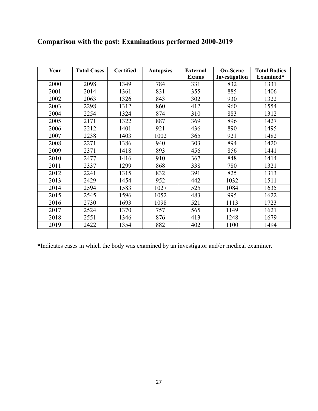| Year | <b>Total Cases</b> | <b>Certified</b> | <b>Autopsies</b> | <b>External</b> | <b>On-Scene</b> | <b>Total Bodies</b> |
|------|--------------------|------------------|------------------|-----------------|-----------------|---------------------|
|      |                    |                  |                  | <b>Exams</b>    | Investigation   | Examined*           |
| 2000 | 2098               | 1349             | 784              | 331             | 832             | 1331                |
| 2001 | 2014               | 1361             | 831              | 355             | 885             | 1406                |
| 2002 | 2063               | 1326             | 843              | 302             | 930             | 1322                |
| 2003 | 2298               | 1312             | 860              | 412             | 960             | 1554                |
| 2004 | 2254               | 1324             | 874              | 310             | 883             | 1312                |
| 2005 | 2171               | 1322             | 887              | 369             | 896             | 1427                |
| 2006 | 2212               | 1401             | 921              | 436             | 890             | 1495                |
| 2007 | 2238               | 1403             | 1002             | 365             | 921             | 1482                |
| 2008 | 2271               | 1386             | 940              | 303             | 894             | 1420                |
| 2009 | 2371               | 1418             | 893              | 456             | 856             | 1441                |
| 2010 | 2477               | 1416             | 910              | 367             | 848             | 1414                |
| 2011 | 2337               | 1299             | 868              | 338             | 780             | 1321                |
| 2012 | 2241               | 1315             | 832              | 391             | 825             | 1313                |
| 2013 | 2429               | 1454             | 952              | 442             | 1032            | 1511                |
| 2014 | 2594               | 1583             | 1027             | 525             | 1084            | 1635                |
| 2015 | 2545               | 1596             | 1052             | 483             | 995             | 1622                |
| 2016 | 2730               | 1693             | 1098             | 521             | 1113            | 1723                |
| 2017 | 2524               | 1370             | 757              | 565             | 1149            | 1621                |
| 2018 | 2551               | 1346             | 876              | 413             | 1248            | 1679                |
| 2019 | 2422               | 1354             | 882              | 402             | 1100            | 1494                |

## **Comparison with the past: Examinations performed 2000-2019**

**\***Indicates cases in which the body was examined by an investigator and/or medical examiner.